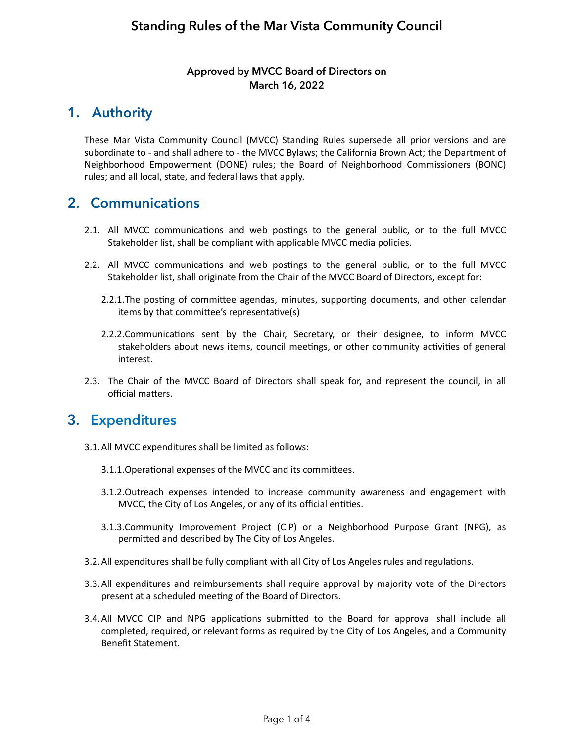#### **Approved by MVCC Board of Directors on March 16, 2022**

# **1. Authority**

These Mar Vista Community Council (MVCC) Standing Rules supersede all prior versions and are subordinate to - and shall adhere to - the MVCC Bylaws; the California Brown Act; the Department of Neighborhood Empowerment (DONE) rules; the Board of Neighborhood Commissioners (BONC) rules; and all local, state, and federal laws that apply.

### **2. Communications**

- 2.1. All MVCC communications and web postings to the general public, or to the full MVCC Stakeholder list, shall be compliant with applicable MVCC media policies.
- 2.2. All MVCC communications and web postings to the general public, or to the full MVCC Stakeholder list, shall originate from the Chair of the MVCC Board of Directors, except for:
	- 2.2.1.The posting of committee agendas, minutes, supporting documents, and other calendar items by that committee's representative(s)
	- 2.2.2.Communications sent by the Chair, Secretary, or their designee, to inform MVCC stakeholders about news items, council meetings, or other community activities of general interest.
- 2.3. The Chair of the MVCC Board of Directors shall speak for, and represent the council, in all official matters.

### **3. Expenditures**

- 3.1. All MVCC expenditures shall be limited as follows:
	- 3.1.1. Operational expenses of the MVCC and its committees.
	- 3.1.2. Outreach expenses intended to increase community awareness and engagement with MVCC, the City of Los Angeles, or any of its official entities.
	- 3.1.3.Community Improvement Project (CIP) or a Neighborhood Purpose Grant (NPG), as permitted and described by The City of Los Angeles.
- 3.2. All expenditures shall be fully compliant with all City of Los Angeles rules and regulations.
- 3.3. All expenditures and reimbursements shall require approval by majority vote of the Directors present at a scheduled meeting of the Board of Directors.
- 3.4. All MVCC CIP and NPG applications submitted to the Board for approval shall include all completed, required, or relevant forms as required by the City of Los Angeles, and a Community Benefit Statement.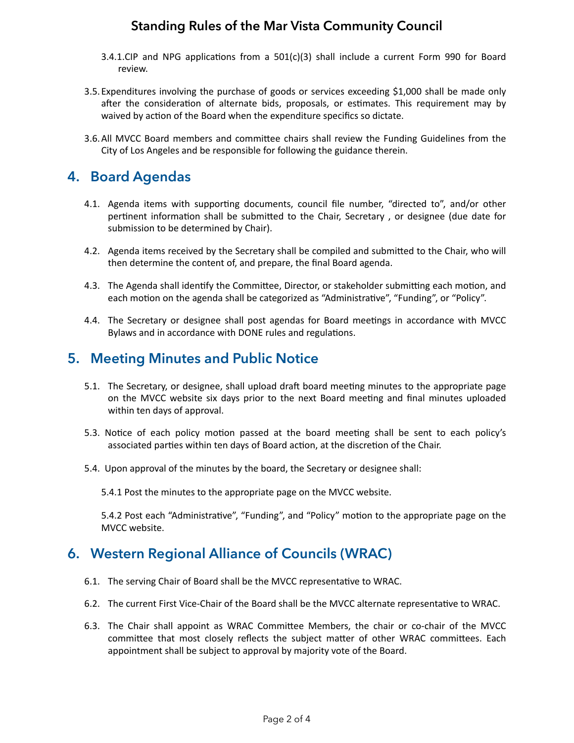#### **Standing Rules of the Mar Vista Community Council**

- 3.4.1.CIP and NPG applications from a  $501(c)(3)$  shall include a current Form 990 for Board review.
- 3.5. Expenditures involving the purchase of goods or services exceeding \$1,000 shall be made only after the consideration of alternate bids, proposals, or estimates. This requirement may by waived by action of the Board when the expenditure specifics so dictate.
- 3.6. All MVCC Board members and committee chairs shall review the Funding Guidelines from the City of Los Angeles and be responsible for following the guidance therein.

# **4. Board Agendas**

- 4.1. Agenda items with supporting documents, council file number, "directed to", and/or other pertinent information shall be submitted to the Chair, Secretary, or designee (due date for submission to be determined by Chair).
- 4.2. Agenda items received by the Secretary shall be compiled and submitted to the Chair, who will then determine the content of, and prepare, the final Board agenda.
- 4.3. The Agenda shall identify the Committee, Director, or stakeholder submitting each motion, and each motion on the agenda shall be categorized as "Administrative", "Funding", or "Policy".
- 4.4. The Secretary or designee shall post agendas for Board meetings in accordance with MVCC Bylaws and in accordance with DONE rules and regulations.

#### **5. Meeting Minutes and Public Notice**

- 5.1. The Secretary, or designee, shall upload draft board meeting minutes to the appropriate page on the MVCC website six days prior to the next Board meeting and final minutes uploaded within ten days of approval.
- 5.3. Notice of each policy motion passed at the board meeting shall be sent to each policy's associated parties within ten days of Board action, at the discretion of the Chair.
- 5.4. Upon approval of the minutes by the board, the Secretary or designee shall:

5.4.1 Post the minutes to the appropriate page on the MVCC website.

5.4.2 Post each "Administrative", "Funding", and "Policy" motion to the appropriate page on the MVCC website.

### **6. Western Regional Alliance of Councils (WRAC)**

- 6.1. The serving Chair of Board shall be the MVCC representative to WRAC.
- 6.2. The current First Vice-Chair of the Board shall be the MVCC alternate representative to WRAC.
- 6.3. The Chair shall appoint as WRAC Committee Members, the chair or co-chair of the MVCC committee that most closely reflects the subject matter of other WRAC committees. Each appointment shall be subject to approval by majority vote of the Board.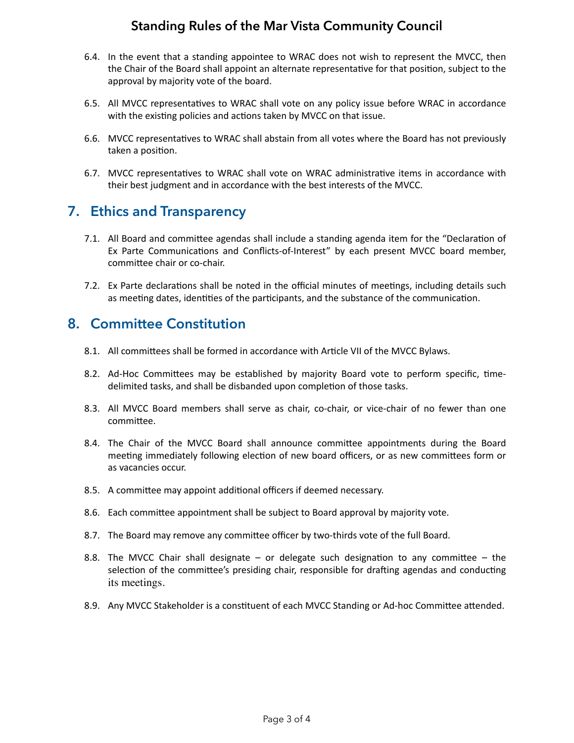#### **Standing Rules of the Mar Vista Community Council**

- 6.4. In the event that a standing appointee to WRAC does not wish to represent the MVCC, then the Chair of the Board shall appoint an alternate representative for that position, subject to the approval by majority vote of the board.
- 6.5. All MVCC representatives to WRAC shall vote on any policy issue before WRAC in accordance with the existing policies and actions taken by MVCC on that issue.
- 6.6. MVCC representatives to WRAC shall abstain from all votes where the Board has not previously taken a position.
- 6.7. MVCC representatives to WRAC shall vote on WRAC administrative items in accordance with their best judgment and in accordance with the best interests of the MVCC.

# **7. Ethics and Transparency**

- 7.1. All Board and committee agendas shall include a standing agenda item for the "Declaration of Ex Parte Communications and Conflicts-of-Interest" by each present MVCC board member, committee chair or co-chair.
- 7.2. Ex Parte declarations shall be noted in the official minutes of meetings, including details such as meeting dates, identities of the participants, and the substance of the communication.

### **8. Committee Constitution**

- 8.1. All committees shall be formed in accordance with Article VII of the MVCC Bylaws.
- 8.2. Ad-Hoc Committees may be established by majority Board vote to perform specific, timedelimited tasks, and shall be disbanded upon completion of those tasks.
- 8.3. All MVCC Board members shall serve as chair, co-chair, or vice-chair of no fewer than one committee.
- 8.4. The Chair of the MVCC Board shall announce committee appointments during the Board meeting immediately following election of new board officers, or as new committees form or as vacancies occur.
- 8.5. A committee may appoint additional officers if deemed necessary.
- 8.6. Each committee appointment shall be subject to Board approval by majority vote.
- 8.7. The Board may remove any committee officer by two-thirds vote of the full Board.
- 8.8. The MVCC Chair shall designate  $-$  or delegate such designation to any committee  $-$  the selection of the committee's presiding chair, responsible for drafting agendas and conducting its meetings.
- 8.9. Any MVCC Stakeholder is a constituent of each MVCC Standing or Ad-hoc Committee attended.